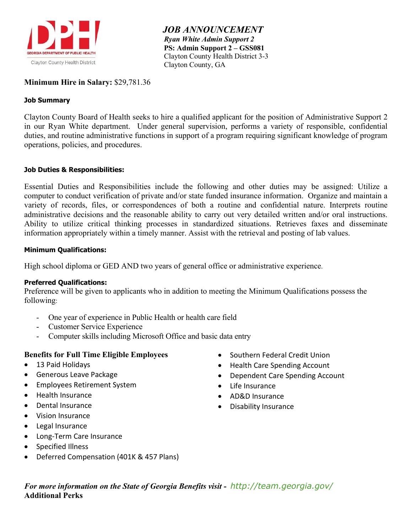

 *JOB ANNOUNCEMENT Ryan White Admin Support 2*  **PS: Admin Support 2 – GSS081** Clayton County Health District 3-3 Clayton County, GA

## **Minimum Hire in Salary:** \$29,781.36

### **Job Summary**

Clayton County Board of Health seeks to hire a qualified applicant for the position of Administrative Support 2 in our Ryan White department. Under general supervision, performs a variety of responsible, confidential duties, and routine administrative functions in support of a program requiring significant knowledge of program operations, policies, and procedures.

### **Job Duties & Responsibilities:**

Essential Duties and Responsibilities include the following and other duties may be assigned: Utilize a computer to conduct verification of private and/or state funded insurance information. Organize and maintain a variety of records, files, or correspondences of both a routine and confidential nature. Interprets routine administrative decisions and the reasonable ability to carry out very detailed written and/or oral instructions. Ability to utilize critical thinking processes in standardized situations. Retrieves faxes and disseminate information appropriately within a timely manner. Assist with the retrieval and posting of lab values.

#### **Minimum Qualifications:**

High school diploma or GED AND two years of general office or administrative experience.

#### **Preferred Qualifications:**

Preference will be given to applicants who in addition to meeting the Minimum Qualifications possess the following:

- One year of experience in Public Health or health care field
- Customer Service Experience
- Computer skills including Microsoft Office and basic data entry

# **Benefits for Full Time Eligible Employees**

- 13 Paid Holidays
- Generous Leave Package
- Employees Retirement System
- Health Insurance
- Dental Insurance
- Vision Insurance
- Legal Insurance
- Long-Term Care Insurance
- Specified Illness
- Deferred Compensation (401K & 457 Plans)
- Southern Federal Credit Union
- Health Care Spending Account
- Dependent Care Spending Account
- Life Insurance
- AD&D Insurance
- Disability Insurance

*For more information on the State of Georgia Benefits visit - <http://team.georgia.gov/>* **Additional Perks**